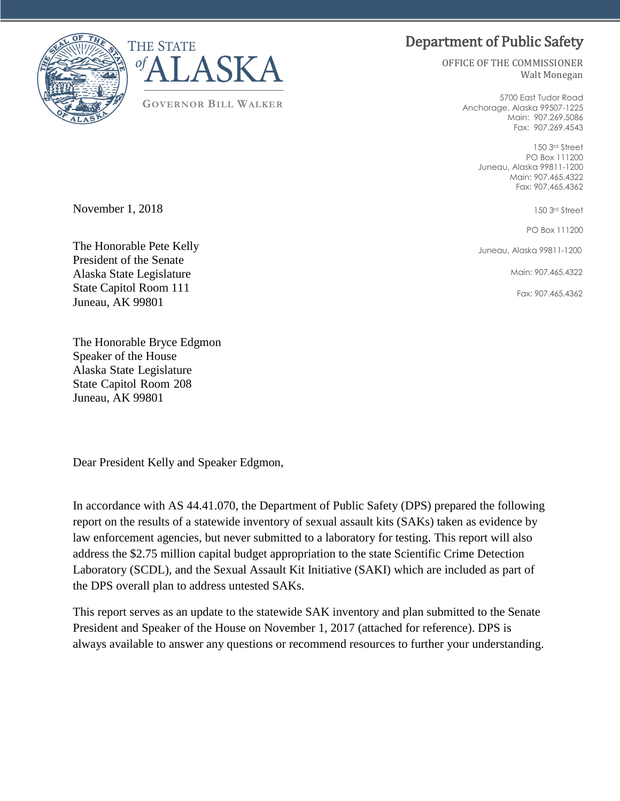# Department of Public Safety



**GOVERNOR BILL WALKER**

OFFICE OF THE COMMISSIONER Walt Monegan

> 5700 East Tudor Road Anchorage, Alaska 99507-1225 Main: 907.269.5086 Fax: 907.269.4543

> > 150 3rd Street PO Box 111200 Juneau, Alaska 99811-1200 Main: 907.465.4322 Fax: 907.465.4362

> > > 150 3rd Street

PO Box 111200

Juneau, Alaska 99811-1200

Main: 907.465.4322

Fax: 907.465.4362

November 1, 2018

The Honorable Pete Kelly President of the Senate Alaska State Legislature State Capitol Room 111 Juneau, AK 99801

The Honorable Bryce Edgmon Speaker of the House Alaska State Legislature State Capitol Room 208 Juneau, AK 99801

Dear President Kelly and Speaker Edgmon,

In accordance with AS 44.41.070, the Department of Public Safety (DPS) prepared the following report on the results of a statewide inventory of sexual assault kits (SAKs) taken as evidence by law enforcement agencies, but never submitted to a laboratory for testing. This report will also address the \$2.75 million capital budget appropriation to the state Scientific Crime Detection Laboratory (SCDL), and the Sexual Assault Kit Initiative (SAKI) which are included as part of the DPS overall plan to address untested SAKs.

This report serves as an update to the statewide SAK inventory and plan submitted to the Senate President and Speaker of the House on November 1, 2017 (attached for reference). DPS is always available to answer any questions or recommend resources to further your understanding.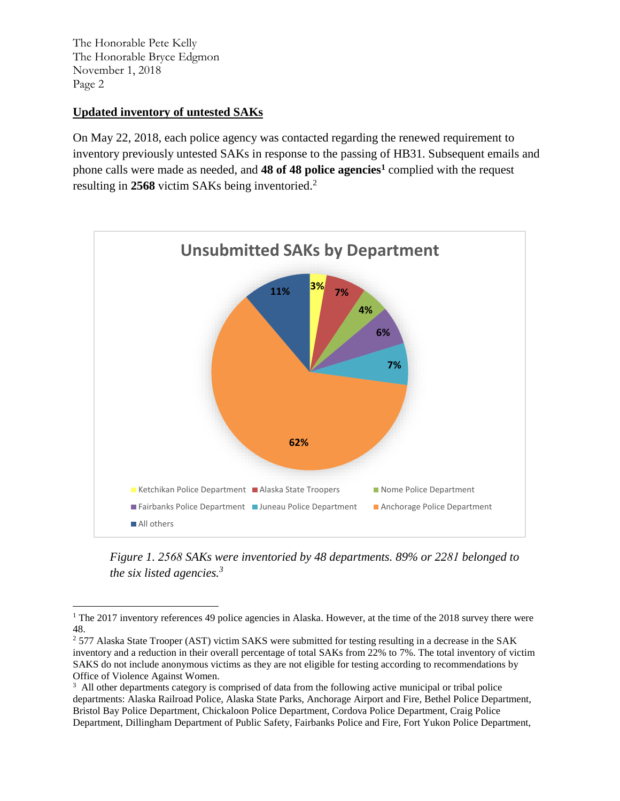#### **Updated inventory of untested SAKs**

On May 22, 2018, each police agency was contacted regarding the renewed requirement to inventory previously untested SAKs in response to the passing of HB31. Subsequent emails and phone calls were made as needed, and **48 of 48 police agencies<sup>1</sup>** complied with the request resulting in **2568** victim SAKs being inventoried.<sup>2</sup>



*Figure 1. 2568 SAKs were inventoried by 48 departments. 89% or 2281 belonged to the six listed agencies.<sup>3</sup>*

<sup>&</sup>lt;sup>1</sup> The 2017 inventory references 49 police agencies in Alaska. However, at the time of the 2018 survey there were 48.

 $2$  577 Alaska State Trooper (AST) victim SAKS were submitted for testing resulting in a decrease in the SAK inventory and a reduction in their overall percentage of total SAKs from 22% to 7%. The total inventory of victim SAKS do not include anonymous victims as they are not eligible for testing according to recommendations by Office of Violence Against Women.

<sup>&</sup>lt;sup>3</sup> All other departments category is comprised of data from the following active municipal or tribal police departments: Alaska Railroad Police, Alaska State Parks, Anchorage Airport and Fire, Bethel Police Department, Bristol Bay Police Department, Chickaloon Police Department, Cordova Police Department, Craig Police Department, Dillingham Department of Public Safety, Fairbanks Police and Fire, Fort Yukon Police Department,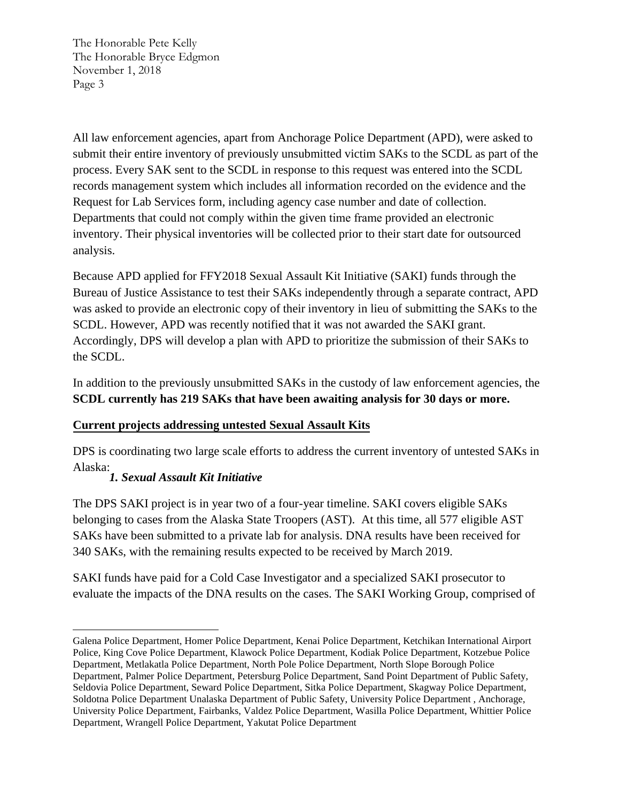All law enforcement agencies, apart from Anchorage Police Department (APD), were asked to submit their entire inventory of previously unsubmitted victim SAKs to the SCDL as part of the process. Every SAK sent to the SCDL in response to this request was entered into the SCDL records management system which includes all information recorded on the evidence and the Request for Lab Services form, including agency case number and date of collection. Departments that could not comply within the given time frame provided an electronic inventory. Their physical inventories will be collected prior to their start date for outsourced analysis.

Because APD applied for FFY2018 Sexual Assault Kit Initiative (SAKI) funds through the Bureau of Justice Assistance to test their SAKs independently through a separate contract, APD was asked to provide an electronic copy of their inventory in lieu of submitting the SAKs to the SCDL. However, APD was recently notified that it was not awarded the SAKI grant. Accordingly, DPS will develop a plan with APD to prioritize the submission of their SAKs to the SCDL.

In addition to the previously unsubmitted SAKs in the custody of law enforcement agencies, the **SCDL currently has 219 SAKs that have been awaiting analysis for 30 days or more.** 

### **Current projects addressing untested Sexual Assault Kits**

DPS is coordinating two large scale efforts to address the current inventory of untested SAKs in Alaska:

### *1. Sexual Assault Kit Initiative*

The DPS SAKI project is in year two of a four-year timeline. SAKI covers eligible SAKs belonging to cases from the Alaska State Troopers (AST). At this time, all 577 eligible AST SAKs have been submitted to a private lab for analysis. DNA results have been received for 340 SAKs, with the remaining results expected to be received by March 2019.

SAKI funds have paid for a Cold Case Investigator and a specialized SAKI prosecutor to evaluate the impacts of the DNA results on the cases. The SAKI Working Group, comprised of

Galena Police Department, Homer Police Department, Kenai Police Department, Ketchikan International Airport Police, King Cove Police Department, Klawock Police Department, Kodiak Police Department, Kotzebue Police Department, Metlakatla Police Department, North Pole Police Department, North Slope Borough Police Department, Palmer Police Department, Petersburg Police Department, Sand Point Department of Public Safety, Seldovia Police Department, Seward Police Department, Sitka Police Department, Skagway Police Department, Soldotna Police Department Unalaska Department of Public Safety, University Police Department , Anchorage, University Police Department, Fairbanks, Valdez Police Department, Wasilla Police Department, Whittier Police Department, Wrangell Police Department, Yakutat Police Department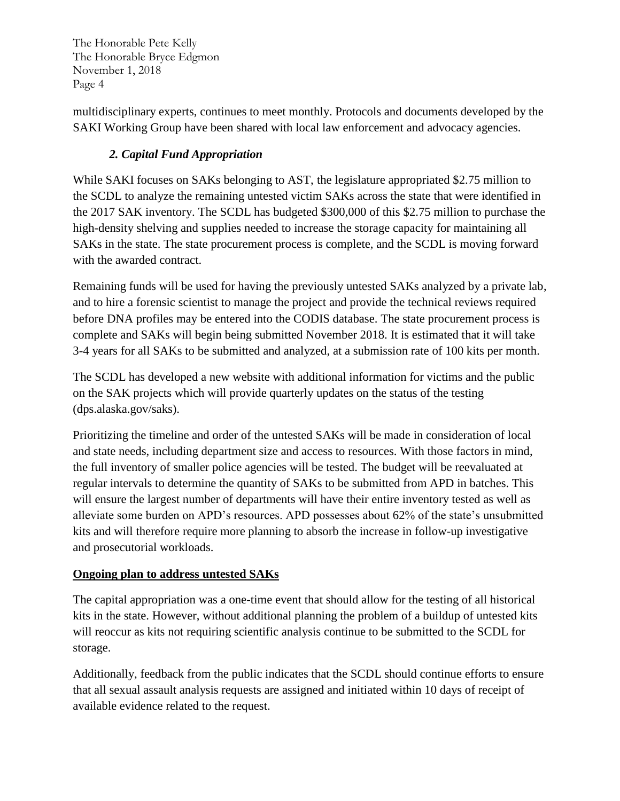multidisciplinary experts, continues to meet monthly. Protocols and documents developed by the SAKI Working Group have been shared with local law enforcement and advocacy agencies.

## *2. Capital Fund Appropriation*

While SAKI focuses on SAKs belonging to AST, the legislature appropriated \$2.75 million to the SCDL to analyze the remaining untested victim SAKs across the state that were identified in the 2017 SAK inventory. The SCDL has budgeted \$300,000 of this \$2.75 million to purchase the high-density shelving and supplies needed to increase the storage capacity for maintaining all SAKs in the state. The state procurement process is complete, and the SCDL is moving forward with the awarded contract.

Remaining funds will be used for having the previously untested SAKs analyzed by a private lab, and to hire a forensic scientist to manage the project and provide the technical reviews required before DNA profiles may be entered into the CODIS database. The state procurement process is complete and SAKs will begin being submitted November 2018. It is estimated that it will take 3-4 years for all SAKs to be submitted and analyzed, at a submission rate of 100 kits per month.

The SCDL has developed a new website with additional information for victims and the public on the SAK projects which will provide quarterly updates on the status of the testing (dps.alaska.gov/saks).

Prioritizing the timeline and order of the untested SAKs will be made in consideration of local and state needs, including department size and access to resources. With those factors in mind, the full inventory of smaller police agencies will be tested. The budget will be reevaluated at regular intervals to determine the quantity of SAKs to be submitted from APD in batches. This will ensure the largest number of departments will have their entire inventory tested as well as alleviate some burden on APD's resources. APD possesses about 62% of the state's unsubmitted kits and will therefore require more planning to absorb the increase in follow-up investigative and prosecutorial workloads.

### **Ongoing plan to address untested SAKs**

The capital appropriation was a one-time event that should allow for the testing of all historical kits in the state. However, without additional planning the problem of a buildup of untested kits will reoccur as kits not requiring scientific analysis continue to be submitted to the SCDL for storage.

Additionally, feedback from the public indicates that the SCDL should continue efforts to ensure that all sexual assault analysis requests are assigned and initiated within 10 days of receipt of available evidence related to the request.